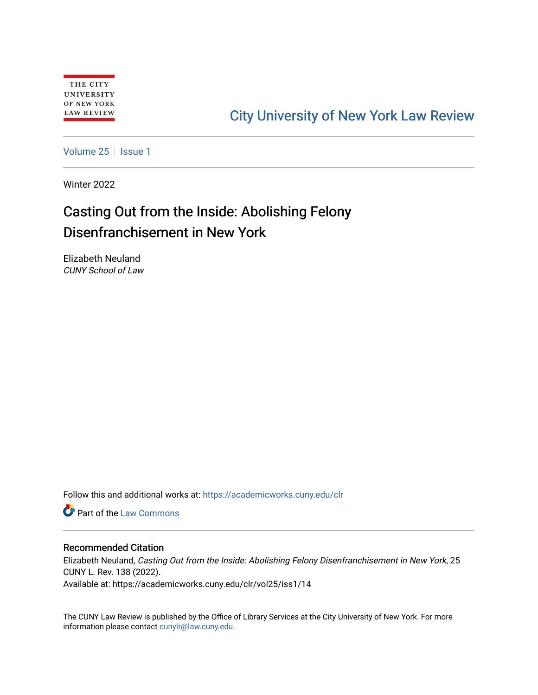# [City University of New York Law Review](https://academicworks.cuny.edu/clr)

[Volume 25](https://academicworks.cuny.edu/clr/vol25) | [Issue 1](https://academicworks.cuny.edu/clr/vol25/iss1)

Winter 2022

# Casting Out from the Inside: Abolishing Felony Disenfranchisement in New York

Elizabeth Neuland CUNY School of Law

Follow this and additional works at: [https://academicworks.cuny.edu/clr](https://academicworks.cuny.edu/clr?utm_source=academicworks.cuny.edu%2Fclr%2Fvol25%2Fiss1%2F14&utm_medium=PDF&utm_campaign=PDFCoverPages) 

**C** Part of the [Law Commons](http://network.bepress.com/hgg/discipline/578?utm_source=academicworks.cuny.edu%2Fclr%2Fvol25%2Fiss1%2F14&utm_medium=PDF&utm_campaign=PDFCoverPages)

# Recommended Citation

Elizabeth Neuland, Casting Out from the Inside: Abolishing Felony Disenfranchisement in New York, 25 CUNY L. Rev. 138 (2022). Available at: https://academicworks.cuny.edu/clr/vol25/iss1/14

The CUNY Law Review is published by the Office of Library Services at the City University of New York. For more information please contact [cunylr@law.cuny.edu](mailto:cunylr@law.cuny.edu).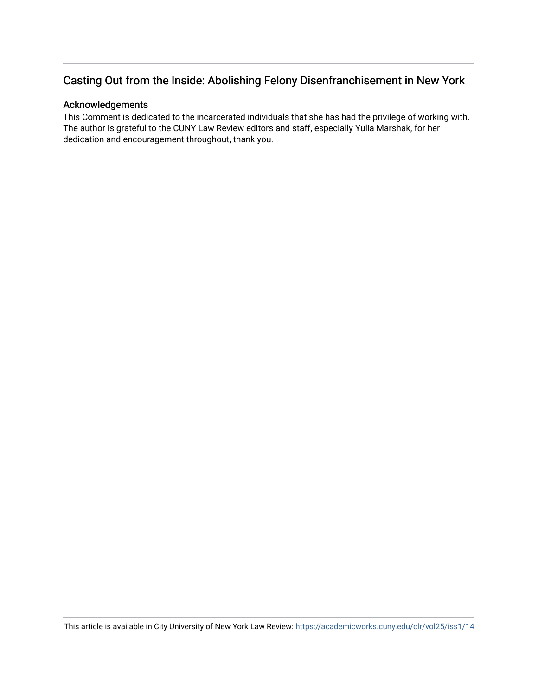# Casting Out from the Inside: Abolishing Felony Disenfranchisement in New York

# Acknowledgements

This Comment is dedicated to the incarcerated individuals that she has had the privilege of working with. The author is grateful to the CUNY Law Review editors and staff, especially Yulia Marshak, for her dedication and encouragement throughout, thank you.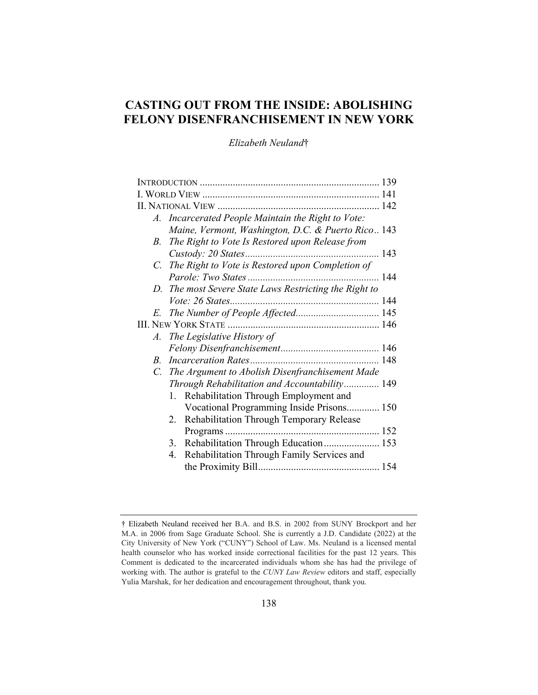# **CASTING OUT FROM THE INSIDE: ABOLISHING FELONY DISENFRANCHISEMENT IN NEW YORK**

*Elizabeth Neuland*†

|    | A. Incarcerated People Maintain the Right to Vote:     |  |
|----|--------------------------------------------------------|--|
|    | Maine, Vermont, Washington, D.C. & Puerto Rico 143     |  |
| В. | The Right to Vote Is Restored upon Release from        |  |
|    | 143                                                    |  |
|    | C. The Right to Vote is Restored upon Completion of    |  |
|    |                                                        |  |
|    | D. The most Severe State Laws Restricting the Right to |  |
|    |                                                        |  |
|    |                                                        |  |
|    |                                                        |  |
|    | A. The Legislative History of                          |  |
|    |                                                        |  |
|    |                                                        |  |
|    | C. The Argument to Abolish Disenfranchisement Made     |  |
|    | Through Rehabilitation and Accountability 149          |  |
|    | Rehabilitation Through Employment and<br>1.            |  |
|    | Vocational Programming Inside Prisons 150              |  |
|    | Rehabilitation Through Temporary Release<br>2.         |  |
|    |                                                        |  |
|    | Rehabilitation Through Education 153<br>3.             |  |
|    | Rehabilitation Through Family Services and<br>4.       |  |
|    |                                                        |  |
|    |                                                        |  |

<sup>†</sup> Elizabeth Neuland received her B.A. and B.S. in 2002 from SUNY Brockport and her M.A. in 2006 from Sage Graduate School. She is currently a J.D. Candidate (2022) at the City University of New York ("CUNY") School of Law. Ms. Neuland is a licensed mental health counselor who has worked inside correctional facilities for the past 12 years. This Comment is dedicated to the incarcerated individuals whom she has had the privilege of working with. The author is grateful to the *CUNY Law Review* editors and staff, especially Yulia Marshak, for her dedication and encouragement throughout, thank you.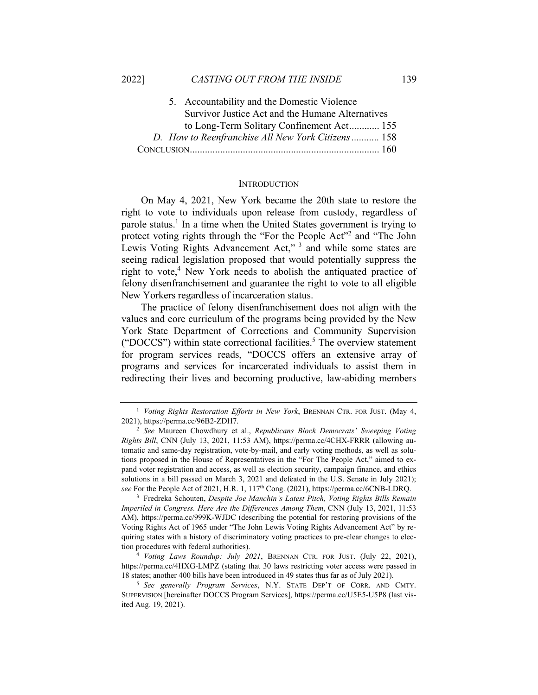| 5. Accountability and the Domestic Violence       |  |
|---------------------------------------------------|--|
| Survivor Justice Act and the Humane Alternatives  |  |
| to Long-Term Solitary Confinement Act 155         |  |
| D. How to Reenfranchise All New York Citizens 158 |  |
|                                                   |  |

#### **INTRODUCTION**

On May 4, 2021, New York became the 20th state to restore the right to vote to individuals upon release from custody, regardless of parole status.<sup>1</sup> In a time when the United States government is trying to protect voting rights through the "For the People Act"<sup>2</sup> and "The John Lewis Voting Rights Advancement Act,"<sup>3</sup> and while some states are seeing radical legislation proposed that would potentially suppress the right to vote,<sup>4</sup> New York needs to abolish the antiquated practice of felony disenfranchisement and guarantee the right to vote to all eligible New Yorkers regardless of incarceration status.

The practice of felony disenfranchisement does not align with the values and core curriculum of the programs being provided by the New York State Department of Corrections and Community Supervision ("DOCCS") within state correctional facilities.<sup>5</sup> The overview statement for program services reads, "DOCCS offers an extensive array of programs and services for incarcerated individuals to assist them in redirecting their lives and becoming productive, law-abiding members

*Imperiled in Congress. Here Are the Differences Among Them*, CNN (July 13, 2021, 11:53 AM), https://perma.cc/999K-WJDC (describing the potential for restoring provisions of the Voting Rights Act of 1965 under "The John Lewis Voting Rights Advancement Act" by requiring states with a history of discriminatory voting practices to pre-clear changes to election procedures with federal authorities). 4 *Voting Laws Roundup: July 2021*, BRENNAN CTR. FOR JUST. (July 22, 2021),

https://perma.cc/4HXG-LMPZ (stating that 30 laws restricting voter access were passed in 18 states; another 400 bills have been introduced in 49 states thus far as of July 2021). 5 *See generally Program Services*, N.Y. STATE DEP'T OF CORR. AND CMTY.

SUPERVISION [hereinafter DOCCS Program Services], https://perma.cc/U5E5-U5P8 (last visited Aug. 19, 2021).

<sup>1</sup> *Voting Rights Restoration Efforts in New York*, BRENNAN CTR. FOR JUST. (May 4, 2021), https://perma.cc/96B2-ZDH7. 2 *See* Maureen Chowdhury et al., *Republicans Block Democrats' Sweeping Voting* 

*Rights Bill*, CNN (July 13, 2021, 11:53 AM), https://perma.cc/4CHX-FRRR (allowing automatic and same-day registration, vote-by-mail, and early voting methods, as well as solutions proposed in the House of Representatives in the "For The People Act," aimed to expand voter registration and access, as well as election security, campaign finance, and ethics solutions in a bill passed on March 3, 2021 and defeated in the U.S. Senate in July 2021); *see* For the People Act of 2021, H.R. 1, 117th Cong. (2021), https://perma.cc/6CNB-LDRQ. 3 Fredreka Schouten, *Despite Joe Manchin's Latest Pitch, Voting Rights Bills Remain*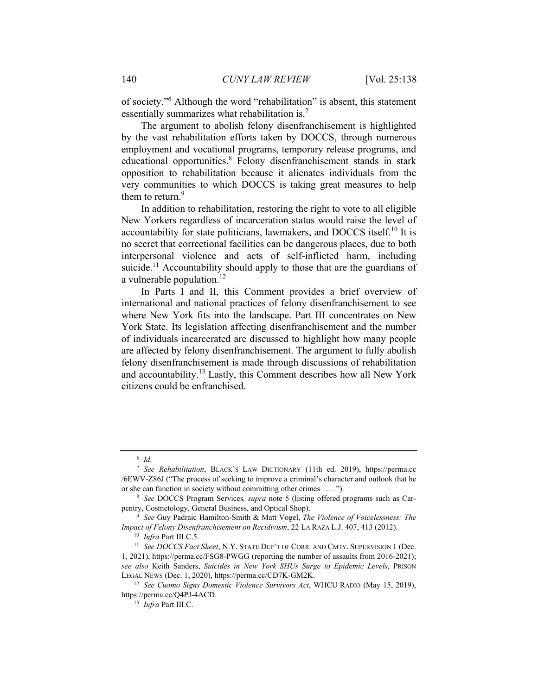of society."6 Although the word "rehabilitation" is absent, this statement essentially summarizes what rehabilitation is.<sup>7</sup>

The argument to abolish felony disenfranchisement is highlighted by the vast rehabilitation efforts taken by DOCCS, through numerous employment and vocational programs, temporary release programs, and educational opportunities.<sup>8</sup> Felony disenfranchisement stands in stark opposition to rehabilitation because it alienates individuals from the very communities to which DOCCS is taking great measures to help them to return.<sup>9</sup>

In addition to rehabilitation, restoring the right to vote to all eligible New Yorkers regardless of incarceration status would raise the level of accountability for state politicians, lawmakers, and DOCCS itself.<sup>10</sup> It is no secret that correctional facilities can be dangerous places, due to both interpersonal violence and acts of self-inflicted harm, including suicide.<sup>11</sup> Accountability should apply to those that are the guardians of a vulnerable population.<sup>12</sup>

In Parts I and II, this Comment provides a brief overview of international and national practices of felony disenfranchisement to see where New York fits into the landscape. Part III concentrates on New York State. Its legislation affecting disenfranchisement and the number of individuals incarcerated are discussed to highlight how many people are affected by felony disenfranchisement. The argument to fully abolish felony disenfranchisement is made through discussions of rehabilitation and accountability.13 Lastly, this Comment describes how all New York citizens could be enfranchised.

<sup>6</sup> *Id.*

<sup>7</sup> *See Rehabilitation*, BLACK'S LAW DICTIONARY (11th ed. 2019), https://perma.cc /6EWV-Z86J ("The process of seeking to improve a criminal's character and outlook that he or she can function in society without committing other crimes . . . .").<br><sup>8</sup> *See* DOCCS Program Services, *supra* note 5 (listing offered programs such as Car-

pentry, Cosmetology, General Business, and Optical Shop). 9 *See* Guy Padraic Hamilton-Smith & Matt Vogel, *The Violence of Voicelessness: The* 

*Inpact of Felony Disenfranchisement on Recidivism*, 22 LA RAZA L.J. 407, 413 (2012).<br><sup>10</sup> *Infra* Part III.C.5. <sup>11</sup> *See DOCCS Fact Sheet*, N.Y. STATE DEP'T OF CORR. AND CMTY. SUPERVISION 1 (Dec.

<sup>1, 2021),</sup> https://perma.cc/FSG8-PWGG (reporting the number of assaults from 2016-2021); *see also* Keith Sanders, *Suicides in New York SHUs Surge to Epidemic Levels*, PRISON LEGAL NEWS (Dec. 1, 2020), https://perma.cc/CD7K-GM2K. 12 *See Cuomo Signs Domestic Violence Survivors Act*, WHCU RADIO (May 15, 2019),

https://perma.cc/Q4PJ-4ACD. 13 *Infra* Part III.C.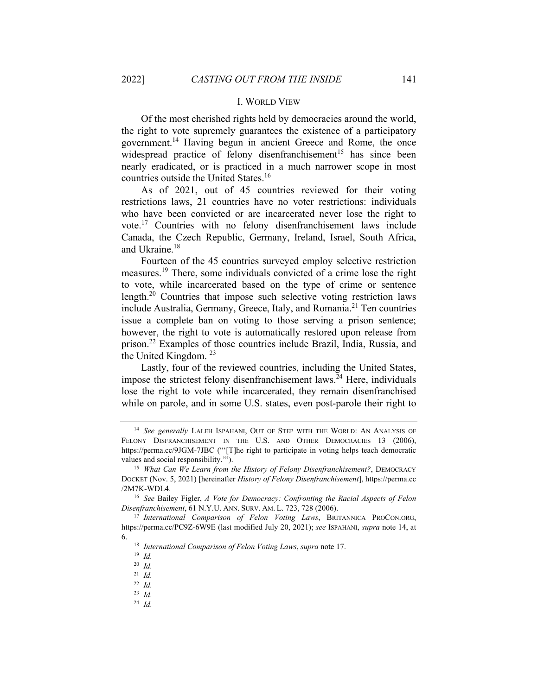#### I. WORLD VIEW

Of the most cherished rights held by democracies around the world, the right to vote supremely guarantees the existence of a participatory government.14 Having begun in ancient Greece and Rome, the once widespread practice of felony disenfranchisement<sup>15</sup> has since been nearly eradicated, or is practiced in a much narrower scope in most countries outside the United States.16

As of 2021, out of 45 countries reviewed for their voting restrictions laws, 21 countries have no voter restrictions: individuals who have been convicted or are incarcerated never lose the right to vote.17 Countries with no felony disenfranchisement laws include Canada, the Czech Republic, Germany, Ireland, Israel, South Africa, and Ukraine.<sup>18</sup>

Fourteen of the 45 countries surveyed employ selective restriction measures.19 There, some individuals convicted of a crime lose the right to vote, while incarcerated based on the type of crime or sentence length.20 Countries that impose such selective voting restriction laws include Australia, Germany, Greece, Italy, and Romania.<sup>21</sup> Ten countries issue a complete ban on voting to those serving a prison sentence; however, the right to vote is automatically restored upon release from prison.22 Examples of those countries include Brazil, India, Russia, and the United Kingdom. 23

Lastly, four of the reviewed countries, including the United States, impose the strictest felony disenfranchisement laws.<sup> $24$ </sup> Here, individuals lose the right to vote while incarcerated, they remain disenfranchised while on parole, and in some U.S. states, even post-parole their right to

<sup>14</sup> *See generally* LALEH ISPAHANI, OUT OF STEP WITH THE WORLD: AN ANALYSIS OF FELONY DISFRANCHISEMENT IN THE U.S. AND OTHER DEMOCRACIES 13 (2006), https://perma.cc/9JGM-7JBC ("'[T]he right to participate in voting helps teach democratic values and social responsibility.'").<br><sup>15</sup> *What Can We Learn from the History of Felony Disenfranchisement?*, DEMOCRACY

DOCKET (Nov. 5, 2021) [hereinafter *History of Felony Disenfranchisement*], https://perma.cc /2M7K-WDL4. 16 *See* Bailey Figler, *A Vote for Democracy: Confronting the Racial Aspects of Felon* 

*Disenfranchisement*, 61 N.Y.U. ANN. SURV. AM. L. 723, 728 (2006).<br><sup>17</sup> International Comparison of Felon Voting Laws, BRITANNICA PROCON.ORG,

https://perma.cc/PC9Z-6W9E (last modified July 20, 2021); *see* ISPAHANI, *supra* note 14, at

<sup>6. 18</sup> *International Comparison of Felon Voting Laws*, *supra* note 17. 19 *Id.*

<sup>20</sup> *Id.*

<sup>21</sup> *Id.*

<sup>22</sup> *Id.*

<sup>23</sup> *Id.*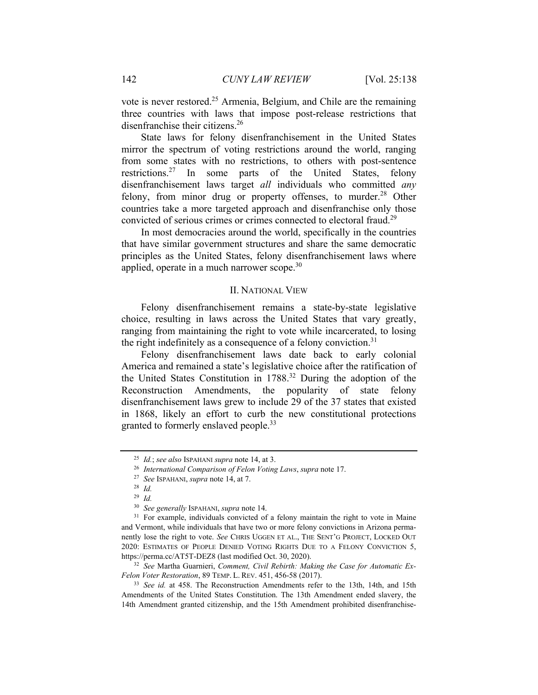vote is never restored.25 Armenia, Belgium, and Chile are the remaining three countries with laws that impose post-release restrictions that disenfranchise their citizens.<sup>26</sup>

State laws for felony disenfranchisement in the United States mirror the spectrum of voting restrictions around the world, ranging from some states with no restrictions, to others with post-sentence restrictions.27 In some parts of the United States, felony disenfranchisement laws target *all* individuals who committed *any* felony, from minor drug or property offenses, to murder.<sup>28</sup> Other countries take a more targeted approach and disenfranchise only those convicted of serious crimes or crimes connected to electoral fraud.<sup>29</sup>

In most democracies around the world, specifically in the countries that have similar government structures and share the same democratic principles as the United States, felony disenfranchisement laws where applied, operate in a much narrower scope.<sup>30</sup>

### II. NATIONAL VIEW

Felony disenfranchisement remains a state-by-state legislative choice, resulting in laws across the United States that vary greatly, ranging from maintaining the right to vote while incarcerated, to losing the right indefinitely as a consequence of a felony conviction.<sup>31</sup>

Felony disenfranchisement laws date back to early colonial America and remained a state's legislative choice after the ratification of the United States Constitution in 1788.32 During the adoption of the Reconstruction Amendments, the popularity of state felony disenfranchisement laws grew to include 29 of the 37 states that existed in 1868, likely an effort to curb the new constitutional protections granted to formerly enslaved people.<sup>33</sup>

<sup>25</sup> *Id.*; *see also* ISPAHANI *supra* note 14, at 3. 26 *International Comparison of Felon Voting Laws*, *supra* note 17. 27 *See* ISPAHANI, *supra* note 14, at 7. 28 *Id.*

<sup>&</sup>lt;sup>29</sup> *Id. See generally ISPAHANI, supra note 14.* 

<sup>&</sup>lt;sup>31</sup> For example, individuals convicted of a felony maintain the right to vote in Maine and Vermont, while individuals that have two or more felony convictions in Arizona permanently lose the right to vote. *See* CHRIS UGGEN ET AL., THE SENT'G PROJECT, LOCKED OUT 2020: ESTIMATES OF PEOPLE DENIED VOTING RIGHTS DUE TO A FELONY CONVICTION 5, https://perma.cc/AT5T-DEZ8 (last modified Oct. 30, 2020). 32 *See* Martha Guarnieri, *Comment, Civil Rebirth: Making the Case for Automatic Ex-*

*Felon Voter Restoration*, 89 TEMP. L. REV. 451, 456-58 (2017).<br><sup>33</sup> *See id.* at 458. The Reconstruction Amendments refer to the 13th, 14th, and 15th

Amendments of the United States Constitution. The 13th Amendment ended slavery, the 14th Amendment granted citizenship, and the 15th Amendment prohibited disenfranchise-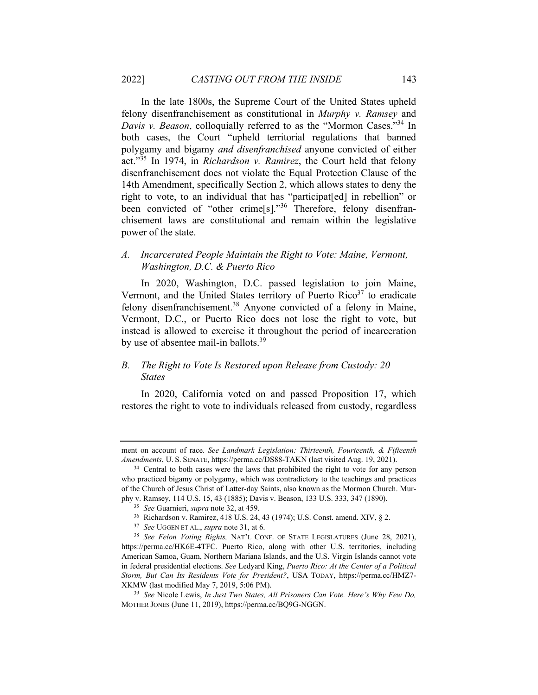In the late 1800s, the Supreme Court of the United States upheld felony disenfranchisement as constitutional in *Murphy v. Ramsey* and *Davis v. Beason*, colloquially referred to as the "Mormon Cases."34 In both cases, the Court "upheld territorial regulations that banned polygamy and bigamy *and disenfranchised* anyone convicted of either act."35 In 1974, in *Richardson v. Ramirez*, the Court held that felony disenfranchisement does not violate the Equal Protection Clause of the 14th Amendment, specifically Section 2, which allows states to deny the right to vote, to an individual that has "participat[ed] in rebellion" or been convicted of "other crime[s]."<sup>36</sup> Therefore, felony disenfranchisement laws are constitutional and remain within the legislative power of the state.

*A. Incarcerated People Maintain the Right to Vote: Maine, Vermont, Washington, D.C. & Puerto Rico* 

In 2020, Washington, D.C. passed legislation to join Maine, Vermont, and the United States territory of Puerto  $Rico<sup>37</sup>$  to eradicate felony disenfranchisement.<sup>38</sup> Anyone convicted of a felony in Maine, Vermont, D.C., or Puerto Rico does not lose the right to vote, but instead is allowed to exercise it throughout the period of incarceration by use of absentee mail-in ballots.<sup>39</sup>

## *B. The Right to Vote Is Restored upon Release from Custody: 20 States*

In 2020, California voted on and passed Proposition 17, which restores the right to vote to individuals released from custody, regardless

ment on account of race. *See Landmark Legislation: Thirteenth, Fourteenth, & Fifteenth Amendments*, U. S. SENATE, https://perma.cc/DS88-TAKN (last visited Aug. 19, 2021). 34 Central to both cases were the laws that prohibited the right to vote for any person

who practiced bigamy or polygamy, which was contradictory to the teachings and practices of the Church of Jesus Christ of Latter-day Saints, also known as the Mormon Church. Mur-

phy v. Ramsey, 114 U.S. 15, 43 (1885); Davis v. Beason, 133 U.S. 333, 347 (1890).<br><sup>35</sup> See Guarnieri, *supra* note 32, at 459.<br><sup>36</sup> Richardson v. Ramirez, 418 U.S. 24, 43 (1974); U.S. Const. amend. XIV, § 2.<br><sup>37</sup> See UGGEN https://perma.cc/HK6E-4TFC. Puerto Rico, along with other U.S. territories, including American Samoa, Guam, Northern Mariana Islands, and the U.S. Virgin Islands cannot vote in federal presidential elections. *See* Ledyard King, *Puerto Rico: At the Center of a Political Storm, But Can Its Residents Vote for President?*, USA TODAY, https://perma.cc/HMZ7- XKMW (last modified May 7, 2019, 5:06 PM). 39 *See* Nicole Lewis, *In Just Two States, All Prisoners Can Vote. Here's Why Few Do,* 

MOTHER JONES (June 11, 2019), https://perma.cc/BQ9G-NGGN.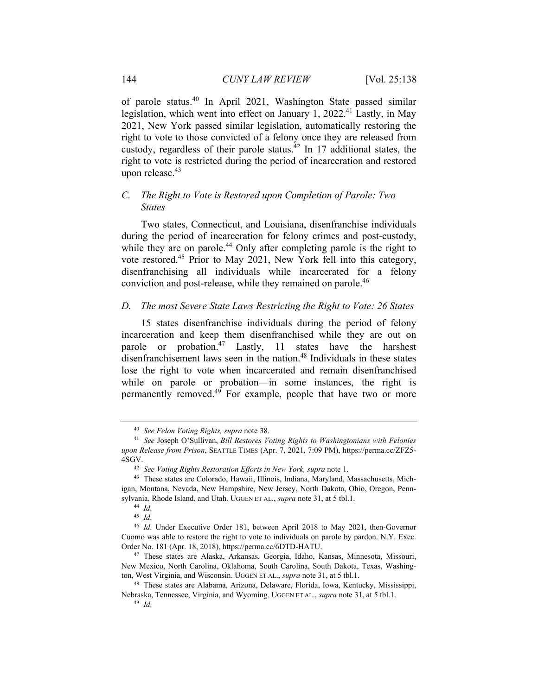of parole status.40 In April 2021, Washington State passed similar legislation, which went into effect on January 1, 2022.<sup>41</sup> Lastly, in May 2021, New York passed similar legislation, automatically restoring the right to vote to those convicted of a felony once they are released from custody, regardless of their parole status.<sup>42</sup> In 17 additional states, the right to vote is restricted during the period of incarceration and restored upon release. $43$ 

# *C. The Right to Vote is Restored upon Completion of Parole: Two States*

Two states, Connecticut, and Louisiana, disenfranchise individuals during the period of incarceration for felony crimes and post-custody, while they are on parole.<sup>44</sup> Only after completing parole is the right to vote restored.45 Prior to May 2021, New York fell into this category, disenfranchising all individuals while incarcerated for a felony conviction and post-release, while they remained on parole.<sup>46</sup>

#### *D. The most Severe State Laws Restricting the Right to Vote: 26 States*

15 states disenfranchise individuals during the period of felony incarceration and keep them disenfranchised while they are out on parole or probation.<sup>47</sup> Lastly, 11 states have the harshest disenfranchisement laws seen in the nation.<sup>48</sup> Individuals in these states lose the right to vote when incarcerated and remain disenfranchised while on parole or probation—in some instances, the right is permanently removed. $49$  For example, people that have two or more

<sup>40</sup> *See Felon Voting Rights, supra* note 38.

<sup>41</sup> *See* Joseph O'Sullivan, *Bill Restores Voting Rights to Washingtonians with Felonies upon Release from Prison*, SEATTLE TIMES (Apr. 7, 2021, 7:09 PM), https://perma.cc/ZFZ5- 4SGV.<br><sup>42</sup> See *Voting Rights Restoration Efforts in New York, supra* note 1.<br><sup>43</sup> These states are Colorado, Hawaii, Illinois, Indiana, Maryland, Massachusetts, Mich-

igan, Montana, Nevada, New Hampshire, New Jersey, North Dakota, Ohio, Oregon, Pennsylvania, Rhode Island, and Utah. UGGEN ET AL., *supra* note 31, at 5 tbl.1. 44 *Id.*

<sup>45</sup> *Id.*

<sup>46</sup> *Id.* Under Executive Order 181, between April 2018 to May 2021, then-Governor Cuomo was able to restore the right to vote to individuals on parole by pardon. N.Y. Exec. Order No. 181 (Apr. 18, 2018), https://perma.cc/6DTD-HATU. 47 These states are Alaska, Arkansas, Georgia, Idaho, Kansas, Minnesota, Missouri,

New Mexico, North Carolina, Oklahoma, South Carolina, South Dakota, Texas, Washington, West Virginia, and Wisconsin. UGGEN ET AL., *supra* note 31, at 5 tbl.1. 48 These states are Alabama, Arizona, Delaware, Florida, Iowa, Kentucky, Mississippi,

Nebraska, Tennessee, Virginia, and Wyoming. UGGEN ET AL., *supra* note 31, at 5 tbl.1. 49 *Id.*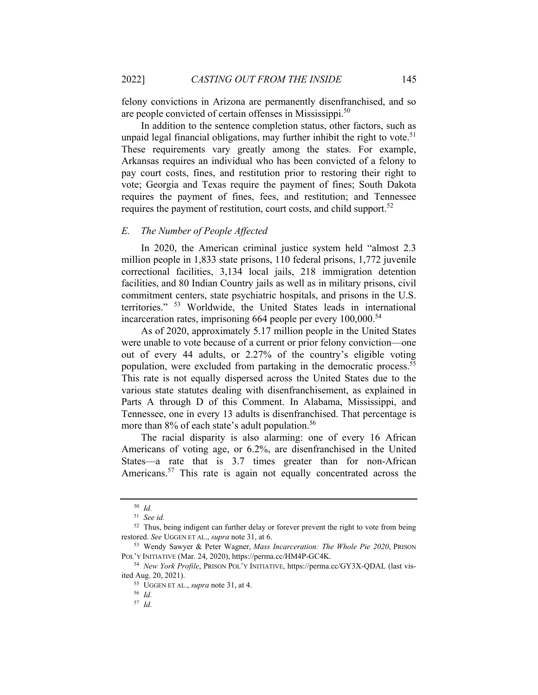felony convictions in Arizona are permanently disenfranchised, and so are people convicted of certain offenses in Mississippi.<sup>50</sup>

In addition to the sentence completion status, other factors, such as unpaid legal financial obligations, may further inhibit the right to vote.<sup>51</sup> These requirements vary greatly among the states. For example, Arkansas requires an individual who has been convicted of a felony to pay court costs, fines, and restitution prior to restoring their right to vote; Georgia and Texas require the payment of fines; South Dakota requires the payment of fines, fees, and restitution; and Tennessee requires the payment of restitution, court costs, and child support.<sup>52</sup>

#### *E. The Number of People Affected*

In 2020, the American criminal justice system held "almost 2.3 million people in 1,833 state prisons, 110 federal prisons, 1,772 juvenile correctional facilities, 3,134 local jails, 218 immigration detention facilities, and 80 Indian Country jails as well as in military prisons, civil commitment centers, state psychiatric hospitals, and prisons in the U.S. territories." 53 Worldwide, the United States leads in international incarceration rates, imprisoning  $664$  people per every  $100,000$ <sup>54</sup>

As of 2020, approximately 5.17 million people in the United States were unable to vote because of a current or prior felony conviction—one out of every 44 adults, or 2.27% of the country's eligible voting population, were excluded from partaking in the democratic process.<sup>55</sup> This rate is not equally dispersed across the United States due to the various state statutes dealing with disenfranchisement, as explained in Parts A through D of this Comment. In Alabama, Mississippi, and Tennessee, one in every 13 adults is disenfranchised. That percentage is more than 8% of each state's adult population.<sup>56</sup>

The racial disparity is also alarming: one of every 16 African Americans of voting age, or 6.2%, are disenfranchised in the United States—a rate that is 3.7 times greater than for non-African Americans.<sup>57</sup> This rate is again not equally concentrated across the

<sup>50</sup> *Id.*

<sup>51</sup> *See id.*

<sup>&</sup>lt;sup>52</sup> Thus, being indigent can further delay or forever prevent the right to vote from being restored. *See* UGGEN ET AL., *supra* note 31, at 6. 53 Wendy Sawyer & Peter Wagner, *Mass Incarceration: The Whole Pie 2020*, PRISON

POL'Y INITIATIVE (Mar. 24, 2020), https://perma.cc/HM4P-GC4K.<br><sup>54</sup> *New York Profile*, PRISON POL'Y INITIATIVE, https://perma.cc/GY3X-QDAL (last vis-

ited Aug. 20, 2021). 55 UGGEN ET AL., *supra* note 31, at 4. 56 *Id.*

<sup>57</sup> *Id.*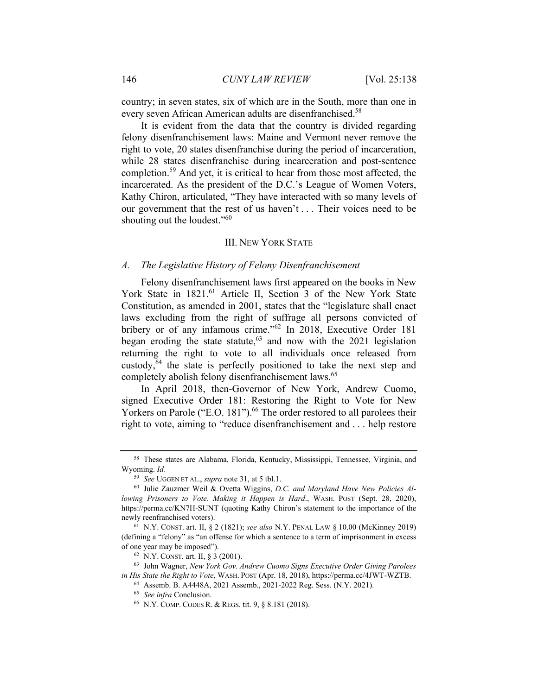country; in seven states, six of which are in the South, more than one in every seven African American adults are disenfranchised.<sup>58</sup>

It is evident from the data that the country is divided regarding felony disenfranchisement laws: Maine and Vermont never remove the right to vote, 20 states disenfranchise during the period of incarceration, while 28 states disenfranchise during incarceration and post-sentence completion.59 And yet, it is critical to hear from those most affected, the incarcerated. As the president of the D.C.'s League of Women Voters, Kathy Chiron, articulated, "They have interacted with so many levels of our government that the rest of us haven't . . . Their voices need to be shouting out the loudest."<sup>60</sup>

#### III. NEW YORK STATE

### *A. The Legislative History of Felony Disenfranchisement*

Felony disenfranchisement laws first appeared on the books in New York State in 1821.<sup>61</sup> Article II, Section 3 of the New York State Constitution, as amended in 2001, states that the "legislature shall enact laws excluding from the right of suffrage all persons convicted of bribery or of any infamous crime."<sup>62</sup> In 2018, Executive Order 181 began eroding the state statute, $63$  and now with the 2021 legislation returning the right to vote to all individuals once released from custody,  $64$  the state is perfectly positioned to take the next step and completely abolish felony disenfranchisement laws.<sup>65</sup>

In April 2018, then-Governor of New York, Andrew Cuomo, signed Executive Order 181: Restoring the Right to Vote for New Yorkers on Parole ("E.O. 181").<sup>66</sup> The order restored to all parolees their right to vote, aiming to "reduce disenfranchisement and . . . help restore

<sup>58</sup> These states are Alabama, Florida, Kentucky, Mississippi, Tennessee, Virginia, and Wyoming. *Id.*

<sup>59</sup> *See* UGGEN ET AL., *supra* note 31, at 5 tbl.1. 60 Julie Zauzmer Weil & Ovetta Wiggins, *D.C. and Maryland Have New Policies Allowing Prisoners to Vote. Making it Happen is Hard*., WASH. POST (Sept. 28, 2020), https://perma.cc/KN7H-SUNT (quoting Kathy Chiron's statement to the importance of the newly reenfranchised voters).<br><sup>61</sup> N.Y. CONST. art. II, § 2 (1821); *see also* N.Y. PENAL LAW § 10.00 (McKinney 2019)

<sup>(</sup>defining a "felony" as "an offense for which a sentence to a term of imprisonment in excess of one year may be imposed").<br><sup>62</sup> N.Y. CONST. art. II, § 3 (2001).<br><sup>63</sup> John Wagner, *New York Gov. Andrew Cuomo Signs Executive Order Giving Parolees* 

*in His State the Right to Vote*, WASH. POST (Apr. 18, 2018), https://perma.cc/4JWT-WZTB. <sup>64</sup> Assemb. B. A4448A, 2021 Assemb., 2021-2022 Reg. Sess. (N.Y. 2021).

<sup>65</sup> *See infra* Conclusion. 66 N.Y. COMP. CODES R. & REGS. tit. 9, § 8.181 (2018).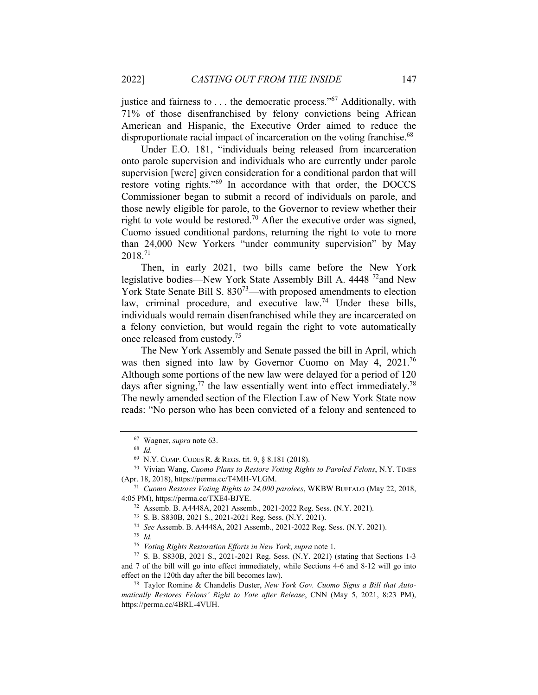justice and fairness to  $\dots$  the democratic process."<sup>67</sup> Additionally, with 71% of those disenfranchised by felony convictions being African American and Hispanic, the Executive Order aimed to reduce the disproportionate racial impact of incarceration on the voting franchise.<sup>68</sup>

Under E.O. 181, "individuals being released from incarceration onto parole supervision and individuals who are currently under parole supervision [were] given consideration for a conditional pardon that will restore voting rights."69 In accordance with that order, the DOCCS Commissioner began to submit a record of individuals on parole, and those newly eligible for parole, to the Governor to review whether their right to vote would be restored.<sup>70</sup> After the executive order was signed, Cuomo issued conditional pardons, returning the right to vote to more than 24,000 New Yorkers "under community supervision" by May 2018.71

Then, in early 2021, two bills came before the New York legislative bodies—New York State Assembly Bill A. 4448<sup>72</sup>and New York State Senate Bill S.  $830^{73}$ —with proposed amendments to election law, criminal procedure, and executive law.<sup>74</sup> Under these bills, individuals would remain disenfranchised while they are incarcerated on a felony conviction, but would regain the right to vote automatically once released from custody.75

The New York Assembly and Senate passed the bill in April, which was then signed into law by Governor Cuomo on May 4, 2021.76 Although some portions of the new law were delayed for a period of 120 days after signing,<sup>77</sup> the law essentially went into effect immediately.<sup>78</sup> The newly amended section of the Election Law of New York State now reads: "No person who has been convicted of a felony and sentenced to

4:05 PM), https://perma.cc/TXE4-BJYE. 72 Assemb. B. A4448A, 2021 Assemb., 2021-2022 Reg. Sess. (N.Y. 2021).

73 S. B. S830B, 2021 S., 2021-2021 Reg. Sess. (N.Y. 2021).

<sup>67</sup> Wagner, *supra* note 63. 68 *Id.*

<sup>69</sup> N.Y. COMP. CODES R. & REGS. tit. 9, § 8.181 (2018). 70 Vivian Wang, *Cuomo Plans to Restore Voting Rights to Paroled Felons*, N.Y. TIMES (Apr. 18, 2018), https://perma.cc/T4MH-VLGM. 71 *Cuomo Restores Voting Rights to 24,000 parolees*, WKBW BUFFALO (May 22, 2018,

<sup>74</sup> *See* Assemb. B. A4448A, 2021 Assemb., 2021-2022 Reg. Sess. (N.Y. 2021). 75 *Id.*

<sup>76</sup> *Voting Rights Restoration Efforts in New York*, *supra* note 1. 77 S. B. S830B, 2021 S., 2021-2021 Reg. Sess. (N.Y. 2021) (stating that Sections 1-3 and 7 of the bill will go into effect immediately, while Sections 4-6 and 8-12 will go into effect on the 120th day after the bill becomes law). 78 Taylor Romine & Chandelis Duster, *New York Gov. Cuomo Signs a Bill that Auto-*

*matically Restores Felons' Right to Vote after Release*, CNN (May 5, 2021, 8:23 PM), https://perma.cc/4BRL-4VUH.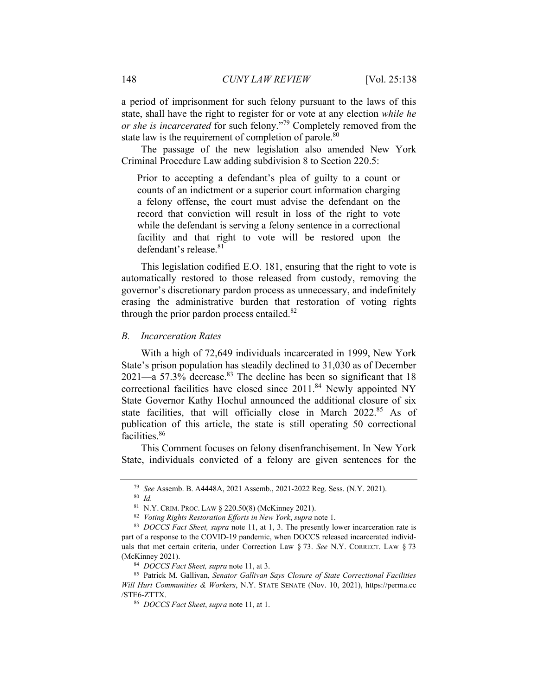a period of imprisonment for such felony pursuant to the laws of this state, shall have the right to register for or vote at any election *while he or she is incarcerated* for such felony."79 Completely removed from the state law is the requirement of completion of parole.<sup>80</sup>

The passage of the new legislation also amended New York Criminal Procedure Law adding subdivision 8 to Section 220.5:

Prior to accepting a defendant's plea of guilty to a count or counts of an indictment or a superior court information charging a felony offense, the court must advise the defendant on the record that conviction will result in loss of the right to vote while the defendant is serving a felony sentence in a correctional facility and that right to vote will be restored upon the defendant's release.<sup>81</sup>

This legislation codified E.O. 181, ensuring that the right to vote is automatically restored to those released from custody, removing the governor's discretionary pardon process as unnecessary, and indefinitely erasing the administrative burden that restoration of voting rights through the prior pardon process entailed. $82$ 

#### *B. Incarceration Rates*

With a high of 72,649 individuals incarcerated in 1999, New York State's prison population has steadily declined to 31,030 as of December  $2021$ —a 57.3% decrease.<sup>83</sup> The decline has been so significant that 18 correctional facilities have closed since 2011.<sup>84</sup> Newly appointed NY State Governor Kathy Hochul announced the additional closure of six state facilities, that will officially close in March 2022.<sup>85</sup> As of publication of this article, the state is still operating 50 correctional facilities.<sup>86</sup>

This Comment focuses on felony disenfranchisement. In New York State, individuals convicted of a felony are given sentences for the

<sup>79</sup> *See* Assemb. B. A4448A, 2021 Assemb., 2021-2022 Reg. Sess. (N.Y. 2021). 80 *Id.*

<sup>81</sup> N.Y. CRIM. PROC. LAW § 220.50(8) (McKinney 2021). 82 *Voting Rights Restoration Efforts in New York*, *supra* note 1. 83 *DOCCS Fact Sheet, supra* note 11, at 1, 3. The presently lower incarceration rate is part of a response to the COVID-19 pandemic, when DOCCS released incarcerated individuals that met certain criteria, under Correction Law § 73. *See* N.Y. CORRECT. LAW § 73 (McKinney 2021). 84 *DOCCS Fact Sheet, supra* note 11, at 3. 85 Patrick M. Gallivan, *Senator Gallivan Says Closure of State Correctional Facilities* 

*Will Hurt Communities & Workers*, N.Y. STATE SENATE (Nov. 10, 2021), https://perma.cc /STE6-ZTTX. 86 *DOCCS Fact Sheet*, *supra* note 11, at 1.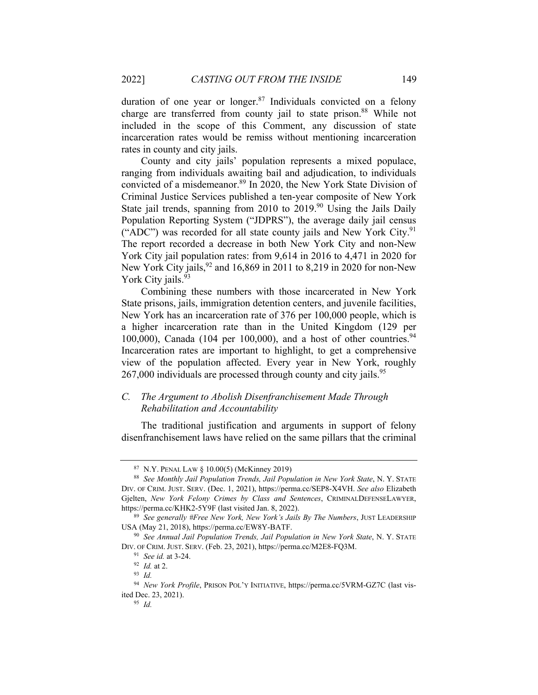duration of one year or longer. $87$  Individuals convicted on a felony charge are transferred from county jail to state prison.<sup>88</sup> While not included in the scope of this Comment, any discussion of state incarceration rates would be remiss without mentioning incarceration rates in county and city jails.

County and city jails' population represents a mixed populace, ranging from individuals awaiting bail and adjudication, to individuals convicted of a misdemeanor.<sup>89</sup> In 2020, the New York State Division of Criminal Justice Services published a ten-year composite of New York State jail trends, spanning from 2010 to 2019.<sup>90</sup> Using the Jails Daily Population Reporting System ("JDPRS"), the average daily jail census ("ADC") was recorded for all state county jails and New York City. $91$ The report recorded a decrease in both New York City and non-New York City jail population rates: from 9,614 in 2016 to 4,471 in 2020 for New York City jails,  $92$  and 16,869 in 2011 to 8,219 in 2020 for non-New York City jails.<sup>93</sup>

Combining these numbers with those incarcerated in New York State prisons, jails, immigration detention centers, and juvenile facilities, New York has an incarceration rate of 376 per 100,000 people, which is a higher incarceration rate than in the United Kingdom (129 per 100,000), Canada (104 per 100,000), and a host of other countries.<sup>94</sup> Incarceration rates are important to highlight, to get a comprehensive view of the population affected. Every year in New York, roughly  $267,000$  individuals are processed through county and city jails.<sup>95</sup>

### *C. The Argument to Abolish Disenfranchisement Made Through Rehabilitation and Accountability*

The traditional justification and arguments in support of felony disenfranchisement laws have relied on the same pillars that the criminal

<sup>87</sup> N.Y. PENAL LAW § 10.00(5) (McKinney 2019) 88 *See Monthly Jail Population Trends, Jail Population in New York State*, N. Y. STATE DIV. OF CRIM. JUST. SERV. (Dec. 1, 2021), https://perma.cc/SEP8-X4VH. *See also* Elizabeth Gjelten, *New York Felony Crimes by Class and Sentences*, CRIMINALDEFENSELAWYER, https://perma.cc/KHK2-5Y9F (last visited Jan. 8, 2022). 89 *See generally #Free New York, New York's Jails By The Numbers*, JUST LEADERSHIP

USA (May 21, 2018), https://perma.cc/EW8Y-BATF. 90 *See Annual Jail Population Trends, Jail Population in New York State*, N. Y. STATE

DIV. OF CRIM. JUST. SERV. (Feb. 23, 2021), https://perma.cc/M2E8-FQ3M.<br><sup>91</sup> See id. at 3-24.<br><sup>92</sup> Id. at 2.<br><sup>93</sup> Id.

<sup>94</sup> *New York Profile*, PRISON POL'Y INITIATIVE, https://perma.cc/5VRM-GZ7C (last visited Dec. 23, 2021). 95 *Id.*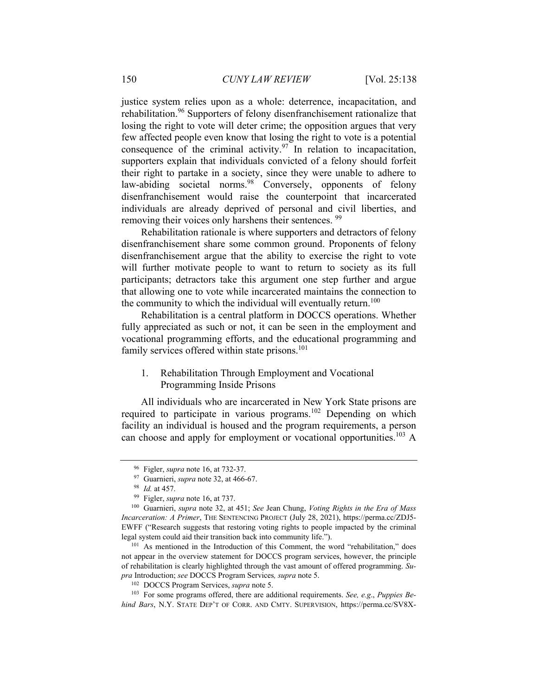justice system relies upon as a whole: deterrence, incapacitation, and rehabilitation.<sup>96</sup> Supporters of felony disenfranchisement rationalize that losing the right to vote will deter crime; the opposition argues that very few affected people even know that losing the right to vote is a potential consequence of the criminal activity. $97$  In relation to incapacitation, supporters explain that individuals convicted of a felony should forfeit their right to partake in a society, since they were unable to adhere to law-abiding societal norms.<sup>98</sup> Conversely, opponents of felony disenfranchisement would raise the counterpoint that incarcerated individuals are already deprived of personal and civil liberties, and removing their voices only harshens their sentences.<sup>99</sup>

Rehabilitation rationale is where supporters and detractors of felony disenfranchisement share some common ground. Proponents of felony disenfranchisement argue that the ability to exercise the right to vote will further motivate people to want to return to society as its full participants; detractors take this argument one step further and argue that allowing one to vote while incarcerated maintains the connection to the community to which the individual will eventually return.<sup>100</sup>

Rehabilitation is a central platform in DOCCS operations. Whether fully appreciated as such or not, it can be seen in the employment and vocational programming efforts, and the educational programming and family services offered within state prisons.<sup>101</sup>

1. Rehabilitation Through Employment and Vocational Programming Inside Prisons

All individuals who are incarcerated in New York State prisons are required to participate in various programs.<sup>102</sup> Depending on which facility an individual is housed and the program requirements, a person can choose and apply for employment or vocational opportunities.<sup>103</sup> A

<sup>&</sup>lt;sup>96</sup> Figler, *supra* note 16, at 732-37.<br><sup>97</sup> Guarnieri, *supra* note 32, at 466-67.<br><sup>98</sup> Id. at 457.<br><sup>99</sup> Figler, *supra* note 16, at 737.<br><sup>100</sup> Guarnieri, *supra* note 32, at 451; *See* Jean Chung, *Voting Rights in the Incarceration: A Primer*, THE SENTENCING PROJECT (July 28, 2021), https://perma.cc/ZDJ5- EWFF ("Research suggests that restoring voting rights to people impacted by the criminal legal system could aid their transition back into community life."). 101 As mentioned in the Introduction of this Comment, the word "rehabilitation," does

not appear in the overview statement for DOCCS program services, however, the principle of rehabilitation is clearly highlighted through the vast amount of offered programming. *Su*pra Introduction; see DOCCS Program Services, *supra* note 5.<br><sup>102</sup> DOCCS Program Services, *supra* note 5.<br><sup>103</sup> For some programs offered, there are additional requirements. *See, e.g., Puppies Be*-

*hind Bars*, N.Y. STATE DEP'T OF CORR. AND CMTY. SUPERVISION, https://perma.cc/SV8X-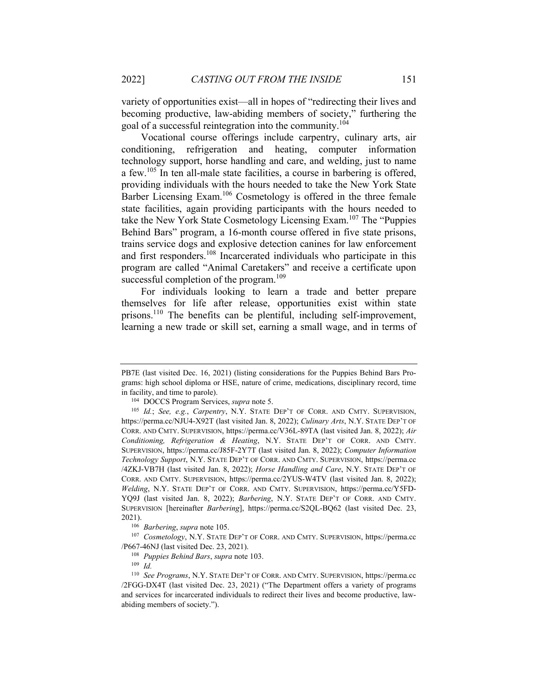variety of opportunities exist—all in hopes of "redirecting their lives and becoming productive, law-abiding members of society," furthering the goal of a successful reintegration into the community.<sup>104</sup>

Vocational course offerings include carpentry, culinary arts, air conditioning, refrigeration and heating, computer information technology support, horse handling and care, and welding, just to name a few.105 In ten all-male state facilities, a course in barbering is offered, providing individuals with the hours needed to take the New York State Barber Licensing Exam.<sup>106</sup> Cosmetology is offered in the three female state facilities, again providing participants with the hours needed to take the New York State Cosmetology Licensing Exam.<sup>107</sup> The "Puppies" Behind Bars" program, a 16-month course offered in five state prisons, trains service dogs and explosive detection canines for law enforcement and first responders.108 Incarcerated individuals who participate in this program are called "Animal Caretakers" and receive a certificate upon successful completion of the program.<sup>109</sup>

For individuals looking to learn a trade and better prepare themselves for life after release, opportunities exist within state prisons.110 The benefits can be plentiful, including self-improvement, learning a new trade or skill set, earning a small wage, and in terms of

PB7E (last visited Dec. 16, 2021) (listing considerations for the Puppies Behind Bars Programs: high school diploma or HSE, nature of crime, medications, disciplinary record, time in facility, and time to parole).<br><sup>104</sup> DOCCS Program Services, *supra* note 5.<br><sup>105</sup> *Id.*; *See, e.g.*, *Carpentry*, N.Y. STATE DEP'T OF CORR. AND CMTY. SUPERVISION,

https://perma.cc/NJU4-X92T (last visited Jan. 8, 2022); *Culinary Arts*, N.Y. STATE DEP'T OF CORR. AND CMTY. SUPERVISION, https://perma.cc/V36L-89TA (last visited Jan. 8, 2022); *Air Conditioning, Refrigeration & Heating*, N.Y. STATE DEP'T OF CORR. AND CMTY. SUPERVISION, https://perma.cc/J85F-2Y7T (last visited Jan. 8, 2022); *Computer Information Technology Support*, N.Y. STATE DEP'T OF CORR. AND CMTY. SUPERVISION, https://perma.cc /4ZKJ-VB7H (last visited Jan. 8, 2022); *Horse Handling and Care*, N.Y. STATE DEP'T OF CORR. AND CMTY. SUPERVISION, https://perma.cc/2YUS-W4TV (last visited Jan. 8, 2022); *Welding*, N.Y. STATE DEP'T OF CORR. AND CMTY. SUPERVISION, https://perma.cc/Y5FD-YQ9J (last visited Jan. 8, 2022); *Barbering*, N.Y. STATE DEP'T OF CORR. AND CMTY. SUPERVISION [hereinafter *Barbering*], https://perma.cc/S2QL-BQ62 (last visited Dec. 23,

<sup>2021).&</sup>lt;br><sup>106</sup> Barbering, *supra* note 105.<br><sup>107</sup> Cosmetology, N.Y. STATE DEP'T OF CORR. AND CMTY. SUPERVISION, https://perma.cc /P667-46NJ (last visited Dec. 23, 2021). 108 *Puppies Behind Bars*, *supra* note 103. 109 *Id.*

<sup>110</sup> *See Programs*, N.Y. STATE DEP'T OF CORR. AND CMTY. SUPERVISION, https://perma.cc /2FGG-DX4T (last visited Dec. 23, 2021) ("The Department offers a variety of programs and services for incarcerated individuals to redirect their lives and become productive, lawabiding members of society.").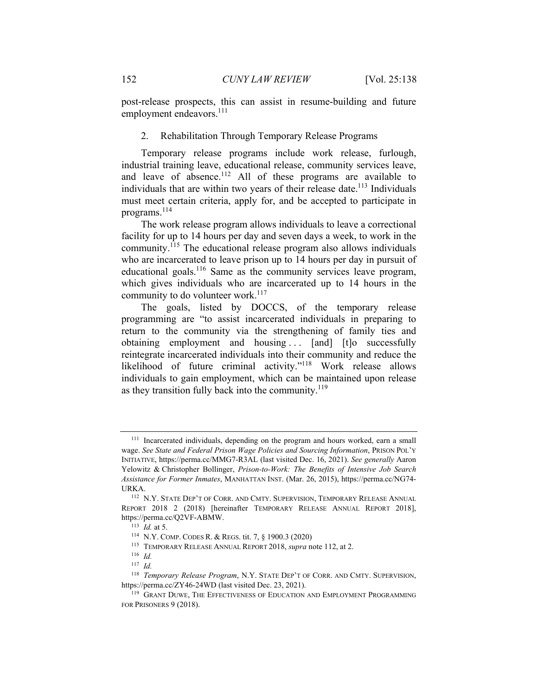post-release prospects, this can assist in resume-building and future employment endeavors.<sup>111</sup>

### 2. Rehabilitation Through Temporary Release Programs

Temporary release programs include work release, furlough, industrial training leave, educational release, community services leave, and leave of absence.<sup>112</sup> All of these programs are available to individuals that are within two years of their release date.<sup>113</sup> Individuals must meet certain criteria, apply for, and be accepted to participate in programs.114

The work release program allows individuals to leave a correctional facility for up to 14 hours per day and seven days a week, to work in the community.<sup> $115$ </sup> The educational release program also allows individuals who are incarcerated to leave prison up to 14 hours per day in pursuit of educational goals.116 Same as the community services leave program, which gives individuals who are incarcerated up to 14 hours in the community to do volunteer work.<sup>117</sup>

The goals, listed by DOCCS, of the temporary release programming are "to assist incarcerated individuals in preparing to return to the community via the strengthening of family ties and obtaining employment and housing ... [and] [t]o successfully reintegrate incarcerated individuals into their community and reduce the likelihood of future criminal activity."118 Work release allows individuals to gain employment, which can be maintained upon release as they transition fully back into the community. $119$ 

<sup>111</sup> Incarcerated individuals, depending on the program and hours worked, earn a small wage. *See State and Federal Prison Wage Policies and Sourcing Information*, PRISON POL'Y INITIATIVE, https://perma.cc/MMG7-R3AL (last visited Dec. 16, 2021). *See generally* Aaron Yelowitz & Christopher Bollinger, *Prison-to-Work: The Benefits of Intensive Job Search Assistance for Former Inmates*, MANHATTAN INST. (Mar. 26, 2015), https://perma.cc/NG74- URKA. 112 N.Y. STATE DEP'T OF CORR. AND CMTY. SUPERVISION, TEMPORARY RELEASE ANNUAL

REPORT 2018 2 (2018) [hereinafter TEMPORARY RELEASE ANNUAL REPORT 2018], https://perma.cc/Q2VF-ABMW.<br>
<sup>113</sup> *Id.* at 5.<br>
<sup>114</sup> N.Y. COMP. CODES R. & REGS. tit. 7, § 1900.3 (2020)<br>
<sup>115</sup> TEMPORARY RELEASE ANNUAL REPORT 2018, *supra* note 112, at 2.<br>
<sup>116</sup> *Id.* 

<sup>117</sup> *Id.*

<sup>118</sup> *Temporary Release Program*, N.Y. STATE DEP'T OF CORR. AND CMTY. SUPERVISION, https://perma.cc/ZY46-24WD (last visited Dec. 23, 2021).<br><sup>119</sup> GRANT DUWE, THE EFFECTIVENESS OF EDUCATION AND EMPLOYMENT PROGRAMMING

FOR PRISONERS 9 (2018).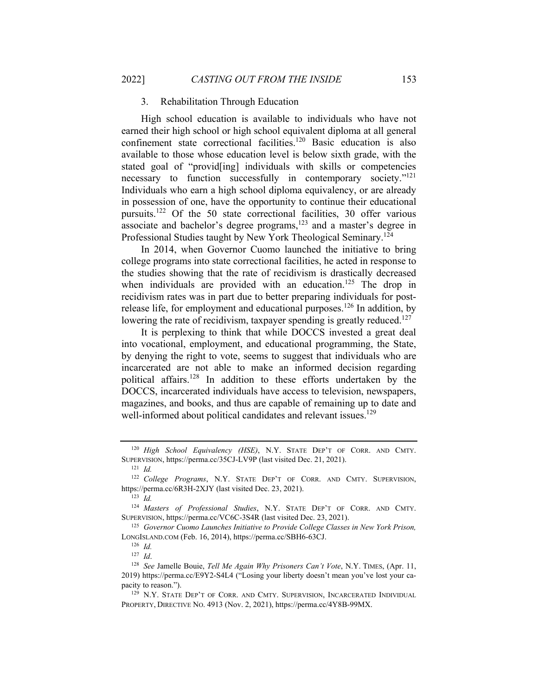#### 3. Rehabilitation Through Education

High school education is available to individuals who have not earned their high school or high school equivalent diploma at all general confinement state correctional facilities.120 Basic education is also available to those whose education level is below sixth grade, with the stated goal of "provid[ing] individuals with skills or competencies necessary to function successfully in contemporary society."<sup>121</sup> Individuals who earn a high school diploma equivalency, or are already in possession of one, have the opportunity to continue their educational pursuits.122 Of the 50 state correctional facilities, 30 offer various associate and bachelor's degree programs,<sup>123</sup> and a master's degree in Professional Studies taught by New York Theological Seminary.124

In 2014, when Governor Cuomo launched the initiative to bring college programs into state correctional facilities, he acted in response to the studies showing that the rate of recidivism is drastically decreased when individuals are provided with an education.<sup>125</sup> The drop in recidivism rates was in part due to better preparing individuals for postrelease life, for employment and educational purposes.<sup>126</sup> In addition, by lowering the rate of recidivism, taxpayer spending is greatly reduced.<sup>127</sup>

It is perplexing to think that while DOCCS invested a great deal into vocational, employment, and educational programming, the State, by denying the right to vote, seems to suggest that individuals who are incarcerated are not able to make an informed decision regarding political affairs.128 In addition to these efforts undertaken by the DOCCS, incarcerated individuals have access to television, newspapers, magazines, and books, and thus are capable of remaining up to date and well-informed about political candidates and relevant issues.<sup>129</sup>

<sup>120</sup> *High School Equivalency (HSE)*, N.Y. STATE DEP'T OF CORR. AND CMTY. SUPERVISION, https://perma.cc/35CJ-LV9P (last visited Dec. 21, 2021). 121 *Id.* 

<sup>122</sup> *College Programs*, N.Y. STATE DEP'T OF CORR. AND CMTY. SUPERVISION, https://perma.cc/6R3H-2XJY (last visited Dec. 23, 2021). 123 *Id.*

<sup>124</sup> *Masters of Professional Studies*, N.Y. STATE DEP'T OF CORR. AND CMTY. SUPERVISION, https://perma.cc/VC6C-3S4R (last visited Dec. 23, 2021).

<sup>125</sup> *Governor Cuomo Launches Initiative to Provide College Classes in New York Prison,*  LONGISLAND.COM (Feb. 16, 2014), https://perma.cc/SBH6-63CJ. 126 *Id.*

<sup>&</sup>lt;sup>128</sup> See Jamelle Bouie, *Tell Me Again Why Prisoners Can't Vote*, N.Y. TIMES, (Apr. 11, 2019) https://perma.cc/E9Y2-S4L4 ("Losing your liberty doesn't mean you've lost your capacity to reason.").<br><sup>129</sup> N.Y. STATE DEP'T OF CORR. AND CMTY. SUPERVISION, INCARCERATED INDIVIDUAL

PROPERTY, DIRECTIVE NO. 4913 (Nov. 2, 2021), https://perma.cc/4Y8B-99MX.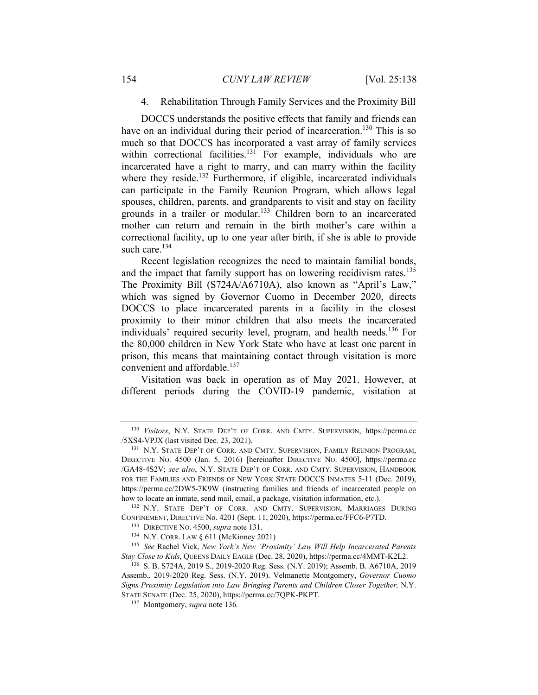### 4. Rehabilitation Through Family Services and the Proximity Bill

DOCCS understands the positive effects that family and friends can have on an individual during their period of incarceration.<sup>130</sup> This is so much so that DOCCS has incorporated a vast array of family services within correctional facilities.<sup>131</sup> For example, individuals who are incarcerated have a right to marry, and can marry within the facility where they reside.<sup>132</sup> Furthermore, if eligible, incarcerated individuals can participate in the Family Reunion Program, which allows legal spouses, children, parents, and grandparents to visit and stay on facility grounds in a trailer or modular.133 Children born to an incarcerated mother can return and remain in the birth mother's care within a correctional facility, up to one year after birth, if she is able to provide such care.<sup>134</sup>

Recent legislation recognizes the need to maintain familial bonds, and the impact that family support has on lowering recidivism rates.<sup>135</sup> The Proximity Bill (S724A/A6710A), also known as "April's Law," which was signed by Governor Cuomo in December 2020, directs DOCCS to place incarcerated parents in a facility in the closest proximity to their minor children that also meets the incarcerated individuals' required security level, program, and health needs.<sup>136</sup> For the 80,000 children in New York State who have at least one parent in prison, this means that maintaining contact through visitation is more convenient and affordable.<sup>137</sup>

Visitation was back in operation as of May 2021. However, at different periods during the COVID-19 pandemic, visitation at

<sup>130</sup> *Visitors*, N.Y. STATE DEP'T OF CORR. AND CMTY. SUPERVISION, https://perma.cc /5XS4-VPJX (last visited Dec. 23, 2021). 131 N.Y. STATE DEP'T OF CORR. AND CMTY. SUPERVISION, FAMILY REUNION PROGRAM,

DIRECTIVE NO. 4500 (Jan. 5, 2016) [hereinafter DIRECTIVE NO. 4500], https://perma.cc /GA48-4S2V; *see also*, N.Y. STATE DEP'T OF CORR. AND CMTY. SUPERVISION, HANDBOOK FOR THE FAMILIES AND FRIENDS OF NEW YORK STATE DOCCS INMATES 5-11 (Dec. 2019), https://perma.cc/2DW5-7K9W (instructing families and friends of incarcerated people on how to locate an inmate, send mail, email, a package, visitation information, etc.). 132 N.Y. STATE DEP'T OF CORR. AND CMTY. SUPERVISION, MARRIAGES DURING

CONFINEMENT, DIRECTIVE No. 4201 (Sept. 11, 2020), https://perma.cc/FFC6-P7TD.<br>
<sup>133</sup> DIRECTIVE No. 4500, *supra* note 131.<br>
<sup>134</sup> N.Y. CORR. LAW § 611 (McKinney 2021)<br>
<sup>135</sup> See Rachel Vick, *New York's New 'Proximity' Law* 

*Stay Close to Kids*, QUEENS DAILY EAGLE (Dec. 28, 2020), https://perma.cc/4MMT-K2L2. 136 S. B. S724A, 2019 S., 2019-2020 Reg. Sess. (N.Y. 2019); Assemb. B. A6710A, 2019

Assemb., 2019-2020 Reg. Sess. (N.Y. 2019). Velmanette Montgomery, *Governor Cuomo Signs Proximity Legislation into Law Bringing Parents and Children Closer Together, N.Y.* STATE SENATE (Dec. 25, 2020), https://perma.cc/7QPK-PKPT. 137 Montgomery, *supra* note 136*.*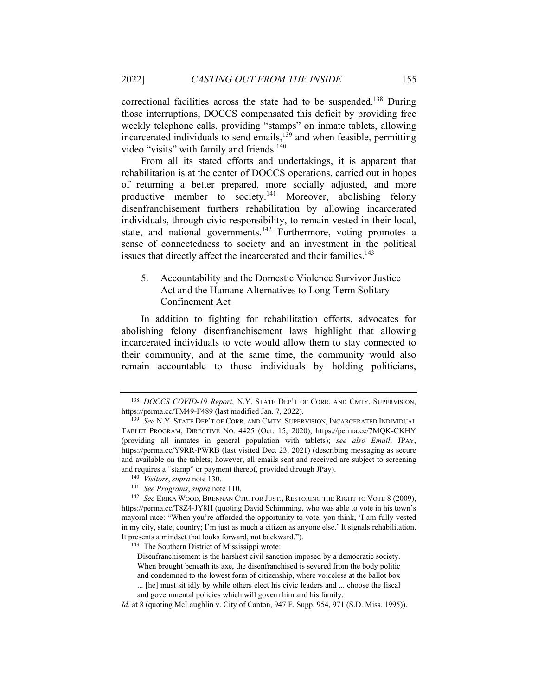correctional facilities across the state had to be suspended.138 During those interruptions, DOCCS compensated this deficit by providing free weekly telephone calls, providing "stamps" on inmate tablets, allowing incarcerated individuals to send emails, $139$  and when feasible, permitting video "visits" with family and friends.<sup>140</sup>

From all its stated efforts and undertakings, it is apparent that rehabilitation is at the center of DOCCS operations, carried out in hopes of returning a better prepared, more socially adjusted, and more productive member to society.<sup>141</sup> Moreover, abolishing felony disenfranchisement furthers rehabilitation by allowing incarcerated individuals, through civic responsibility, to remain vested in their local, state, and national governments.<sup>142</sup> Furthermore, voting promotes a sense of connectedness to society and an investment in the political issues that directly affect the incarcerated and their families.<sup>143</sup>

5. Accountability and the Domestic Violence Survivor Justice Act and the Humane Alternatives to Long-Term Solitary Confinement Act

In addition to fighting for rehabilitation efforts, advocates for abolishing felony disenfranchisement laws highlight that allowing incarcerated individuals to vote would allow them to stay connected to their community, and at the same time, the community would also remain accountable to those individuals by holding politicians,

<sup>138</sup> *DOCCS COVID-19 Report*, N.Y. STATE DEP'T OF CORR. AND CMTY. SUPERVISION, https://perma.cc/TM49-F489 (last modified Jan. 7, 2022). 139 *See* N.Y. STATE DEP'T OF CORR. AND CMTY. SUPERVISION, INCARCERATED INDIVIDUAL

TABLET PROGRAM, DIRECTIVE NO. 4425 (Oct. 15, 2020), https://perma.cc/7MQK-CKHY (providing all inmates in general population with tablets); *see also Email*, JPAY, https://perma.cc/Y9RR-PWRB (last visited Dec. 23, 2021) (describing messaging as secure and available on the tablets; however, all emails sent and received are subject to screening and requires a "stamp" or payment thereof, provided through JPay).<br>
<sup>140</sup> Visitors, supra note 130.<br>
<sup>141</sup> See Programs, supra note 110.<br>
<sup>142</sup> See ERIKA WOOD, BRENNAN CTR. FOR JUST., RESTORING THE RIGHT TO VOTE 8 (2009),

https://perma.cc/T8Z4-JY8H (quoting David Schimming, who was able to vote in his town's mayoral race: "When you're afforded the opportunity to vote, you think, 'I am fully vested in my city, state, country; I'm just as much a citizen as anyone else.' It signals rehabilitation. It presents a mindset that looks forward, not backward."). 143 The Southern District of Mississippi wrote:

Disenfranchisement is the harshest civil sanction imposed by a democratic society. When brought beneath its axe, the disenfranchised is severed from the body politic

and condemned to the lowest form of citizenship, where voiceless at the ballot box

<sup>... [</sup>he] must sit idly by while others elect his civic leaders and ... choose the fiscal

and governmental policies which will govern him and his family.

*Id.* at 8 (quoting McLaughlin v. City of Canton, 947 F. Supp. 954, 971 (S.D. Miss. 1995)).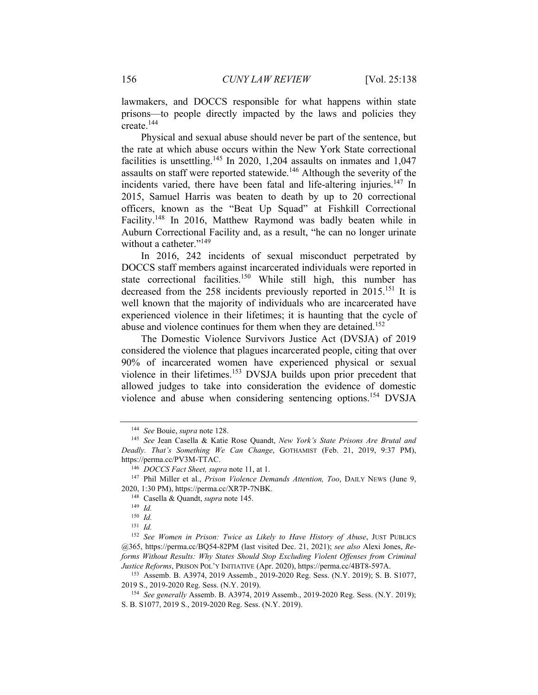lawmakers, and DOCCS responsible for what happens within state prisons—to people directly impacted by the laws and policies they create.144

Physical and sexual abuse should never be part of the sentence, but the rate at which abuse occurs within the New York State correctional facilities is unsettling.<sup>145</sup> In 2020, 1,204 assaults on inmates and 1,047 assaults on staff were reported statewide.<sup>146</sup> Although the severity of the incidents varied, there have been fatal and life-altering injuries.<sup>147</sup> In 2015, Samuel Harris was beaten to death by up to 20 correctional officers, known as the "Beat Up Squad" at Fishkill Correctional Facility.<sup>148</sup> In 2016, Matthew Raymond was badly beaten while in Auburn Correctional Facility and, as a result, "he can no longer urinate without a catheter."<sup>149</sup>

In 2016, 242 incidents of sexual misconduct perpetrated by DOCCS staff members against incarcerated individuals were reported in state correctional facilities.<sup>150</sup> While still high, this number has decreased from the 258 incidents previously reported in 2015.<sup>151</sup> It is well known that the majority of individuals who are incarcerated have experienced violence in their lifetimes; it is haunting that the cycle of abuse and violence continues for them when they are detained.<sup>152</sup>

The Domestic Violence Survivors Justice Act (DVSJA) of 2019 considered the violence that plagues incarcerated people, citing that over 90% of incarcerated women have experienced physical or sexual violence in their lifetimes.153 DVSJA builds upon prior precedent that allowed judges to take into consideration the evidence of domestic violence and abuse when considering sentencing options.154 DVSJA

<sup>&</sup>lt;sup>144</sup> See Bouie, *supra* note 128.<br><sup>145</sup> See Jean Casella & Katie Rose Quandt, *New York's State Prisons Are Brutal and Deadly. That's Something We Can Change*, GOTHAMIST (Feb. 21, 2019, 9:37 PM), https://perma.cc/PV3M-TTAC.<br><sup>146</sup> *DOCCS Fact Sheet, supra* note 11, at 1.<br><sup>147</sup> Phil Miller et al., *Prison Violence Demands Attention, Too*, DAILY NEWS (June 9,

<sup>2020, 1:30</sup> PM), https://perma.cc/XR7P-7NBK. 148 Casella & Quandt, *supra* note 145. 149 *Id.*

<sup>150</sup> *Id.*

<sup>151</sup> *Id.*

<sup>152</sup> *See Women in Prison: Twice as Likely to Have History of Abuse*, JUST PUBLICS @365, https://perma.cc/BQ54-82PM (last visited Dec. 21, 2021); *see also* Alexi Jones, *Reforms Without Results: Why States Should Stop Excluding Violent Offenses from Criminal Justice Reforms*, PRISON POL'Y INITIATIVE (Apr. 2020), https://perma.cc/4BT8-597A.<br><sup>153</sup> Assemb. B. A3974, 2019 Assemb., 2019-2020 Reg. Sess. (N.Y. 2019); S. B. S1077,

<sup>2019</sup> S., 2019-2020 Reg. Sess. (N.Y. 2019). 154 *See generally* Assemb. B. A3974, 2019 Assemb., 2019-2020 Reg. Sess. (N.Y. 2019);

S. B. S1077, 2019 S., 2019-2020 Reg. Sess. (N.Y. 2019).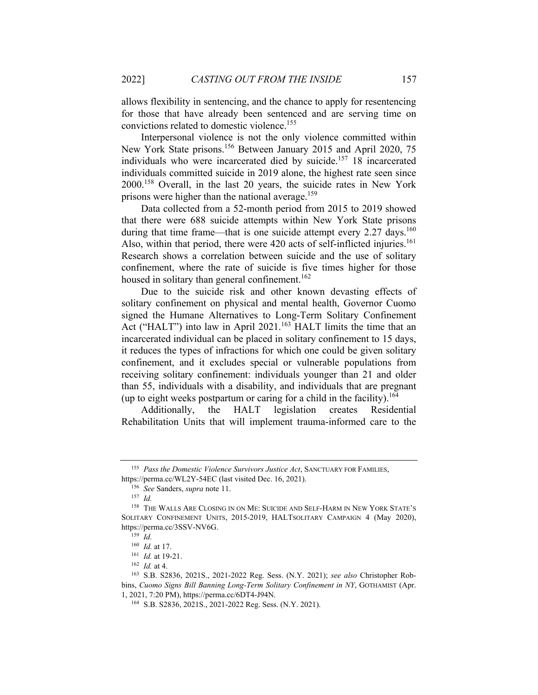allows flexibility in sentencing, and the chance to apply for resentencing for those that have already been sentenced and are serving time on convictions related to domestic violence.155

Interpersonal violence is not the only violence committed within New York State prisons.156 Between January 2015 and April 2020, 75 individuals who were incarcerated died by suicide.<sup>157</sup> 18 incarcerated individuals committed suicide in 2019 alone, the highest rate seen since 2000.158 Overall, in the last 20 years, the suicide rates in New York prisons were higher than the national average.<sup>159</sup>

Data collected from a 52-month period from 2015 to 2019 showed that there were 688 suicide attempts within New York State prisons during that time frame—that is one suicide attempt every  $2.27 \text{ days}$ .<sup>160</sup> Also, within that period, there were  $420$  acts of self-inflicted injuries.<sup>161</sup> Research shows a correlation between suicide and the use of solitary confinement, where the rate of suicide is five times higher for those housed in solitary than general confinement.<sup>162</sup>

Due to the suicide risk and other known devasting effects of solitary confinement on physical and mental health, Governor Cuomo signed the Humane Alternatives to Long-Term Solitary Confinement Act ("HALT") into law in April 2021.<sup>163</sup> HALT limits the time that an incarcerated individual can be placed in solitary confinement to 15 days, it reduces the types of infractions for which one could be given solitary confinement, and it excludes special or vulnerable populations from receiving solitary confinement: individuals younger than 21 and older than 55, individuals with a disability, and individuals that are pregnant (up to eight weeks postpartum or caring for a child in the facility).<sup>164</sup>

Additionally, the HALT legislation creates Residential Rehabilitation Units that will implement trauma-informed care to the

<sup>155</sup> *Pass the Domestic Violence Survivors Justice Act*, SANCTUARY FOR FAMILIES, https://perma.cc/WL2Y-54EC (last visited Dec. 16, 2021). 156 *See* Sanders, *supra* note 11. 157 *Id.*

<sup>158</sup> THE WALLS ARE CLOSING IN ON ME: SUICIDE AND SELF-HARM IN NEW YORK STATE'S SOLITARY CONFINEMENT UNITS, 2015-2019, HALTSOLITARY CAMPAIGN 4 (May 2020), https://perma.cc/3SSV-NV6G.<br><sup>159</sup> *Id.*<br><sup>160</sup> *Id.* at 17.

<sup>161</sup> *Id.* at 19-21.<br><sup>162</sup> *Id.* at 4.<br><sup>163</sup> S.B. S2836, 2021S., 2021-2022 Reg. Sess. (N.Y. 2021); *see also* Christopher Robbins, *Cuomo Signs Bill Banning Long-Term Solitary Confinement in NY*, GOTHAMIST (Apr.

<sup>1, 2021, 7:20</sup> PM), https://perma.cc/6DT4-J94N. 164 S.B. S2836, 2021S., 2021-2022 Reg. Sess. (N.Y. 2021).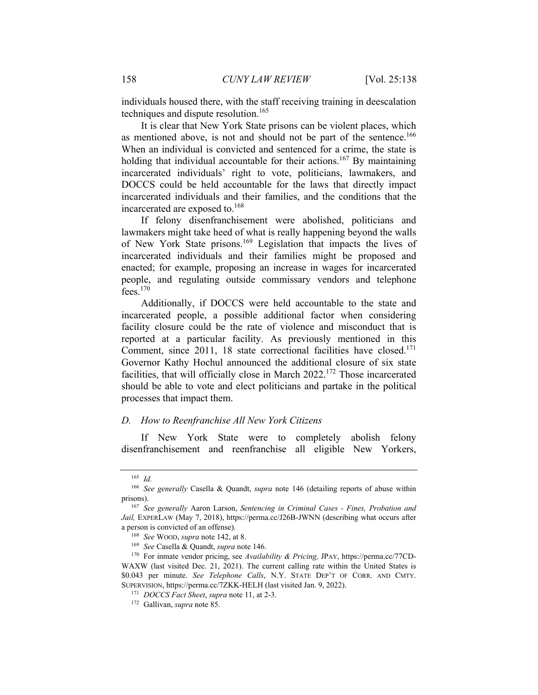individuals housed there, with the staff receiving training in deescalation techniques and dispute resolution.<sup>165</sup>

It is clear that New York State prisons can be violent places, which as mentioned above, is not and should not be part of the sentence.<sup>166</sup> When an individual is convicted and sentenced for a crime, the state is holding that individual accountable for their actions.<sup>167</sup> By maintaining incarcerated individuals' right to vote, politicians, lawmakers, and DOCCS could be held accountable for the laws that directly impact incarcerated individuals and their families, and the conditions that the incarcerated are exposed to.168

If felony disenfranchisement were abolished, politicians and lawmakers might take heed of what is really happening beyond the walls of New York State prisons.169 Legislation that impacts the lives of incarcerated individuals and their families might be proposed and enacted; for example, proposing an increase in wages for incarcerated people, and regulating outside commissary vendors and telephone  $fees$ <sup>170</sup>

Additionally, if DOCCS were held accountable to the state and incarcerated people, a possible additional factor when considering facility closure could be the rate of violence and misconduct that is reported at a particular facility. As previously mentioned in this Comment, since 2011, 18 state correctional facilities have closed.<sup>171</sup> Governor Kathy Hochul announced the additional closure of six state facilities, that will officially close in March 2022.172 Those incarcerated should be able to vote and elect politicians and partake in the political processes that impact them.

#### *D. How to Reenfranchise All New York Citizens*

If New York State were to completely abolish felony disenfranchisement and reenfranchise all eligible New Yorkers,

<sup>165</sup> *Id.*

<sup>166</sup> *See generally* Casella & Quandt, *supra* note 146 (detailing reports of abuse within prisons). 167 *See generally* Aaron Larson, *Sentencing in Criminal Cases - Fines, Probation and* 

Jail, EXPERLAW (May 7, 2018), https://perma.cc/J26B-JWNN (describing what occurs after a person is convicted of an offense).<br>
<sup>168</sup> *See* Wood, *supra* note 142, at 8.<br>
<sup>169</sup> *See* Casella & Quandt, *supra* note 146.<br>
<sup>170</sup> For inmate vendor pricing, see *Availability* & *Pricing*, JPAY, https://perma.cc/77

WAXW (last visited Dec. 21, 2021). The current calling rate within the United States is \$0.043 per minute. *See Telephone Calls*, N.Y. STATE DEP'T OF CORR. AND CMTY. SUPERVISION, https://perma.cc/7ZKK-HELH (last visited Jan. 9, 2022).

<sup>171</sup> *DOCCS Fact Sheet*, *supra* note 11, at 2-3. 172 Gallivan, *supra* note 85.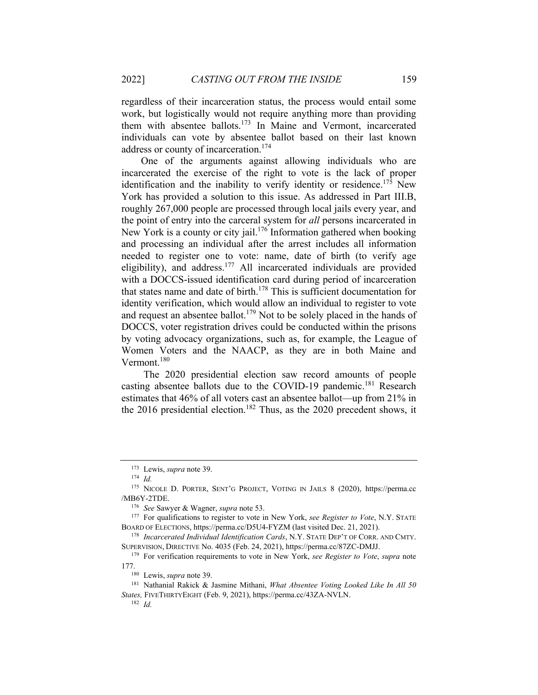regardless of their incarceration status, the process would entail some work, but logistically would not require anything more than providing them with absentee ballots.173 In Maine and Vermont, incarcerated individuals can vote by absentee ballot based on their last known address or county of incarceration.<sup>174</sup>

One of the arguments against allowing individuals who are incarcerated the exercise of the right to vote is the lack of proper identification and the inability to verify identity or residence.<sup>175</sup> New York has provided a solution to this issue. As addressed in Part III.B, roughly 267,000 people are processed through local jails every year, and the point of entry into the carceral system for *all* persons incarcerated in New York is a county or city jail.<sup>176</sup> Information gathered when booking and processing an individual after the arrest includes all information needed to register one to vote: name, date of birth (to verify age eligibility), and address.177 All incarcerated individuals are provided with a DOCCS-issued identification card during period of incarceration that states name and date of birth.<sup>178</sup> This is sufficient documentation for identity verification, which would allow an individual to register to vote and request an absentee ballot.<sup>179</sup> Not to be solely placed in the hands of DOCCS, voter registration drives could be conducted within the prisons by voting advocacy organizations, such as, for example, the League of Women Voters and the NAACP, as they are in both Maine and Vermont.<sup>180</sup>

 The 2020 presidential election saw record amounts of people casting absentee ballots due to the COVID-19 pandemic.<sup>181</sup> Research estimates that 46% of all voters cast an absentee ballot—up from 21% in the 2016 presidential election.<sup>182</sup> Thus, as the 2020 precedent shows, it

<sup>173</sup> Lewis, *supra* note 39. 174 *Id.*

<sup>175</sup> NICOLE D. PORTER, SENT'G PROJECT, VOTING IN JAILS 8 (2020), https://perma.cc /MB6Y-2TDE. 176 *See* Sawyer & Wagner, *supra* note 53. 177 For qualifications to register to vote in New York, *see Register to Vote*, N.Y. STATE

BOARD OF ELECTIONS, https://perma.cc/D5U4-FYZM (last visited Dec. 21, 2021). 178 *Incarcerated Individual Identification Cards*, N.Y. STATE DEP'T OF CORR. AND CMTY.

SUPERVISION, DIRECTIVE No. 4035 (Feb. 24, 2021), https://perma.cc/87ZC-DMJJ. 179 For verification requirements to vote in New York, *see Register to Vote*, *supra* note

<sup>177.&</sup>lt;br><sup>180</sup> Lewis, *supra* note 39.<br><sup>181</sup> Nathanial Rakick & Jasmine Mithani, *What Absentee Voting Looked Like In All 50* 

*States,* FIVETHIRTYEIGHT (Feb. 9, 2021), https://perma.cc/43ZA-NVLN. 182 *Id.*